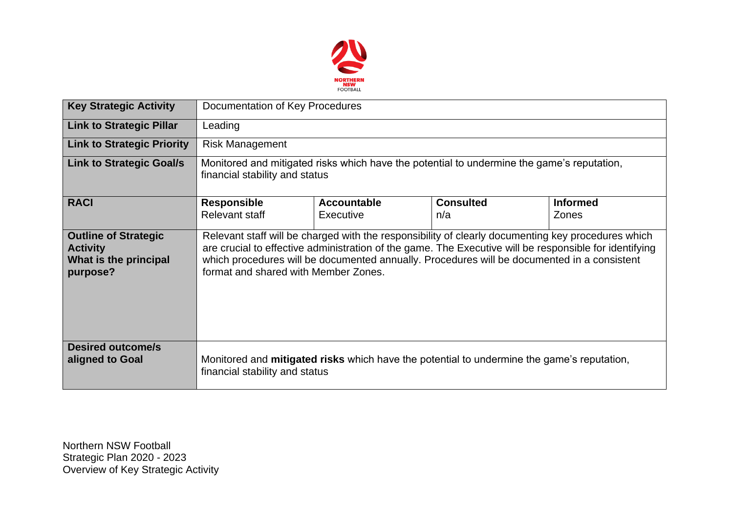

| <b>Key Strategic Activity</b>                                                       | Documentation of Key Procedures                                                                                                                                                                                                                                                                                                                     |                                        |                         |                                 |  |  |  |  |
|-------------------------------------------------------------------------------------|-----------------------------------------------------------------------------------------------------------------------------------------------------------------------------------------------------------------------------------------------------------------------------------------------------------------------------------------------------|----------------------------------------|-------------------------|---------------------------------|--|--|--|--|
| <b>Link to Strategic Pillar</b>                                                     | Leading                                                                                                                                                                                                                                                                                                                                             |                                        |                         |                                 |  |  |  |  |
| <b>Link to Strategic Priority</b>                                                   | <b>Risk Management</b>                                                                                                                                                                                                                                                                                                                              |                                        |                         |                                 |  |  |  |  |
| <b>Link to Strategic Goal/s</b>                                                     | Monitored and mitigated risks which have the potential to undermine the game's reputation,<br>financial stability and status                                                                                                                                                                                                                        |                                        |                         |                                 |  |  |  |  |
| <b>RACI</b>                                                                         | <b>Responsible</b><br>Relevant staff                                                                                                                                                                                                                                                                                                                | <b>Accountable</b><br><b>Executive</b> | <b>Consulted</b><br>n/a | <b>Informed</b><br><b>Zones</b> |  |  |  |  |
| <b>Outline of Strategic</b><br><b>Activity</b><br>What is the principal<br>purpose? | Relevant staff will be charged with the responsibility of clearly documenting key procedures which<br>are crucial to effective administration of the game. The Executive will be responsible for identifying<br>which procedures will be documented annually. Procedures will be documented in a consistent<br>format and shared with Member Zones. |                                        |                         |                                 |  |  |  |  |
| <b>Desired outcome/s</b><br>aligned to Goal                                         | Monitored and <b>mitigated risks</b> which have the potential to undermine the game's reputation,<br>financial stability and status                                                                                                                                                                                                                 |                                        |                         |                                 |  |  |  |  |

Northern NSW Football Strategic Plan 2020 - 2023 Overview of Key Strategic Activity